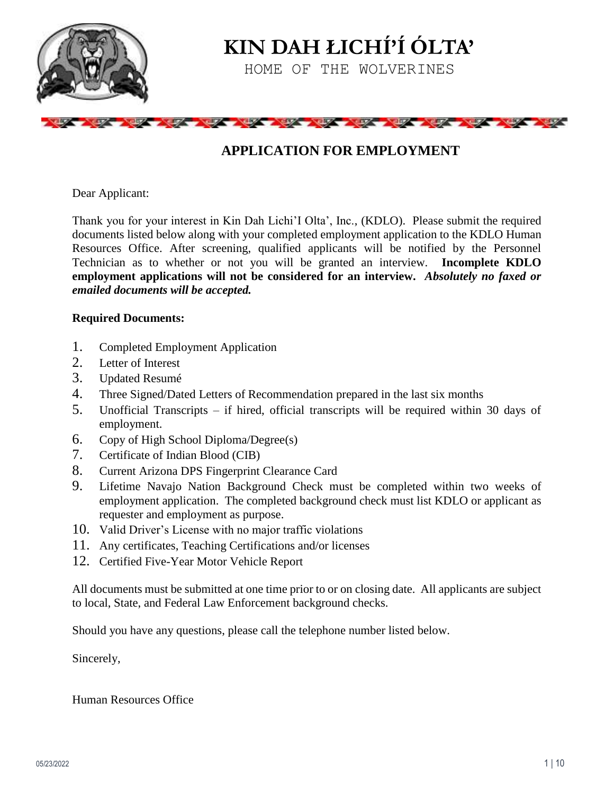

**KIN DAH ŁICHÍ'Í ÓLTA'**

HOME OF THE WOLVERINES

# the state of the state of the state of the state of the state of the state of the state of the state of the state of the state of the state of the state of the state of the state of the state of the state of the state of t

# **APPLICATION FOR EMPLOYMENT**

Dear Applicant:

Thank you for your interest in Kin Dah Lichi'I Olta', Inc., (KDLO). Please submit the required documents listed below along with your completed employment application to the KDLO Human Resources Office. After screening, qualified applicants will be notified by the Personnel Technician as to whether or not you will be granted an interview. **Incomplete KDLO employment applications will not be considered for an interview.** *Absolutely no faxed or emailed documents will be accepted.*

#### **Required Documents:**

- 1. Completed Employment Application
- 2. Letter of Interest
- 3. Updated Resumé
- 4. Three Signed/Dated Letters of Recommendation prepared in the last six months
- 5. Unofficial Transcripts if hired, official transcripts will be required within 30 days of employment.
- 6. Copy of High School Diploma/Degree(s)
- 7. Certificate of Indian Blood (CIB)
- 8. Current Arizona DPS Fingerprint Clearance Card
- 9. Lifetime Navajo Nation Background Check must be completed within two weeks of employment application. The completed background check must list KDLO or applicant as requester and employment as purpose.
- 10. Valid Driver's License with no major traffic violations
- 11. Any certificates, Teaching Certifications and/or licenses
- 12. Certified Five-Year Motor Vehicle Report

All documents must be submitted at one time prior to or on closing date. All applicants are subject to local, State, and Federal Law Enforcement background checks.

Should you have any questions, please call the telephone number listed below.

Sincerely,

Human Resources Office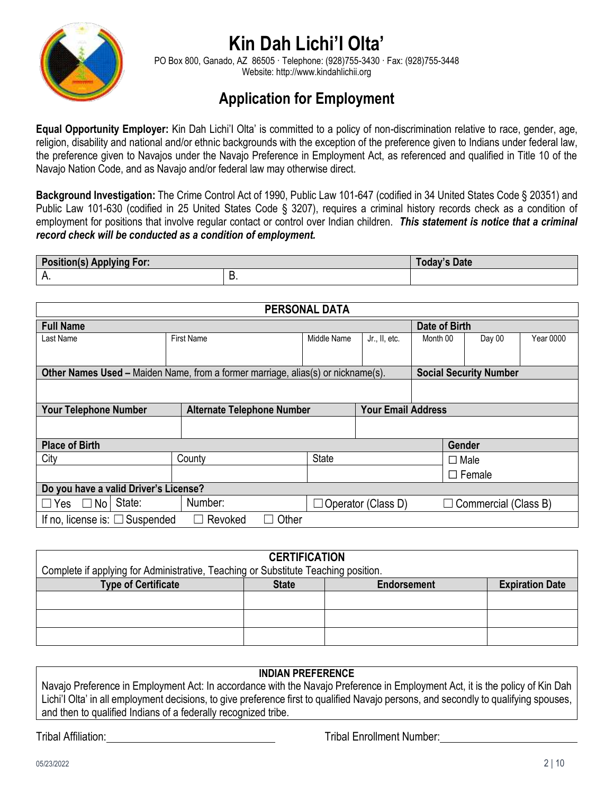

# **Kin Dah Lichi'I Olta'**

PO Box 800, Ganado, AZ 86505 · Telephone: (928)755-3430 · Fax: (928)755-3448 Website[: http://www.kindahlichii.org](http://www.kindahlichii.org/)

# **Application for Employment**

**Equal Opportunity Employer:** Kin Dah Lichi'I Olta' is committed to a policy of non-discrimination relative to race, gender, age, religion, disability and national and/or ethnic backgrounds with the exception of the preference given to Indians under federal law, the preference given to Navajos under the Navajo Preference in Employment Act, as referenced and qualified in Title 10 of the Navajo Nation Code, and as Navajo and/or federal law may otherwise direct.

**Background Investigation:** The Crime Control Act of 1990, Public Law 101-647 (codified in 34 United States Code § 20351) and Public Law 101-630 (codified in 25 United States Code § 3207), requires a criminal history records check as a condition of employment for positions that involve regular contact or control over Indian children. *This statement is notice that a criminal record check will be conducted as a condition of employment.*

| <b>Position(s)</b><br>For:<br>Applying |     | Date<br><b>TOday's</b> |
|----------------------------------------|-----|------------------------|
| л.                                     | . ب |                        |

| <b>PERSONAL DATA</b>                                              |                                                                                         |              |                           |          |                               |           |
|-------------------------------------------------------------------|-----------------------------------------------------------------------------------------|--------------|---------------------------|----------|-------------------------------|-----------|
| <b>Full Name</b>                                                  |                                                                                         |              | Date of Birth             |          |                               |           |
| Last Name                                                         | <b>First Name</b>                                                                       | Middle Name  | Jr., II, etc.             | Month 00 | Day 00                        | Year 0000 |
|                                                                   |                                                                                         |              |                           |          |                               |           |
|                                                                   | <b>Other Names Used – Maiden Name, from a former marriage, alias(s) or nickname(s).</b> |              |                           |          | <b>Social Security Number</b> |           |
|                                                                   |                                                                                         |              |                           |          |                               |           |
| <b>Your Telephone Number</b><br><b>Alternate Telephone Number</b> |                                                                                         |              | <b>Your Email Address</b> |          |                               |           |
|                                                                   |                                                                                         |              |                           |          |                               |           |
| <b>Place of Birth</b>                                             |                                                                                         |              |                           |          | Gender                        |           |
| City                                                              | County                                                                                  | <b>State</b> |                           |          | $\Box$ Male                   |           |
|                                                                   |                                                                                         |              |                           |          | $\Box$ Female                 |           |
| Do you have a valid Driver's License?                             |                                                                                         |              |                           |          |                               |           |
| $\Box$ Yes $\Box$ No State:                                       | Number:                                                                                 |              | $\Box$ Operator (Class D) |          | $\Box$ Commercial (Class B)   |           |
| If no, license is: $\Box$ Suspended                               | Other<br>Revoked                                                                        |              |                           |          |                               |           |

| <b>CERTIFICATION</b>                                                               |              |                    |                        |  |  |
|------------------------------------------------------------------------------------|--------------|--------------------|------------------------|--|--|
| Complete if applying for Administrative, Teaching or Substitute Teaching position. |              |                    |                        |  |  |
| <b>Type of Certificate</b>                                                         | <b>State</b> | <b>Endorsement</b> | <b>Expiration Date</b> |  |  |
|                                                                                    |              |                    |                        |  |  |
|                                                                                    |              |                    |                        |  |  |
|                                                                                    |              |                    |                        |  |  |

#### **INDIAN PREFERENCE**

Navajo Preference in Employment Act: In accordance with the Navajo Preference in Employment Act, it is the policy of Kin Dah Lichi'l Olta' in all employment decisions, to give preference first to qualified Navajo persons, and secondly to qualifying spouses, and then to qualified Indians of a federally recognized tribe.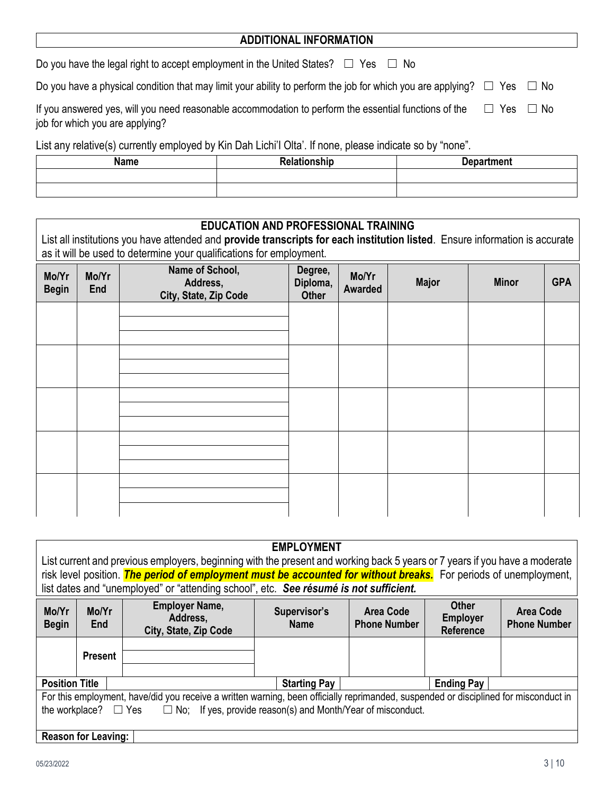### **ADDITIONAL INFORMATION**

Do you have the legal right to accept employment in the United States?  $□$  Yes  $□$  No

Do you have a physical condition that may limit your ability to perform the job for which you are applying?  $\Box$  Yes  $\Box$  No

| If you answered yes, will you need reasonable accommodation to perform the essential functions of the | $\Box$ Yes $\Box$ No |  |
|-------------------------------------------------------------------------------------------------------|----------------------|--|
| job for which you are applying?                                                                       |                      |  |

List any relative(s) currently employed by Kin Dah Lichi'I Olta'. If none, please indicate so by "none".

| <b>Name</b> | Relationship | <b>Department</b> |
|-------------|--------------|-------------------|
|             |              |                   |
|             |              |                   |

## **EDUCATION AND PROFESSIONAL TRAINING**

List all institutions you have attended and **provide transcripts for each institution listed**. Ensure information is accurate as it will be used to determine your qualifications for employment.

| Mo/Yr<br><b>Begin</b> | Mo/Yr<br>End | Name of School,<br>Address,<br>City, State, Zip Code | Degree,<br>Diploma,<br><b>Other</b> | Mo/Yr<br><b>Awarded</b> | <b>Major</b> | <b>Minor</b> | <b>GPA</b> |
|-----------------------|--------------|------------------------------------------------------|-------------------------------------|-------------------------|--------------|--------------|------------|
|                       |              |                                                      |                                     |                         |              |              |            |
|                       |              |                                                      |                                     |                         |              |              |            |
|                       |              |                                                      |                                     |                         |              |              |            |
|                       |              |                                                      |                                     |                         |              |              |            |
|                       |              |                                                      |                                     |                         |              |              |            |

|                                                                                                                                      |                                                                                                                  |                                                                                       | <b>EMPLOYMENT</b>           |                                  |                                                     |                                         |
|--------------------------------------------------------------------------------------------------------------------------------------|------------------------------------------------------------------------------------------------------------------|---------------------------------------------------------------------------------------|-----------------------------|----------------------------------|-----------------------------------------------------|-----------------------------------------|
| List current and previous employers, beginning with the present and working back 5 years or 7 years if you have a moderate           |                                                                                                                  |                                                                                       |                             |                                  |                                                     |                                         |
|                                                                                                                                      | risk level position. The period of employment must be accounted for without breaks. For periods of unemployment, |                                                                                       |                             |                                  |                                                     |                                         |
|                                                                                                                                      |                                                                                                                  | list dates and "unemployed" or "attending school", etc. See résumé is not sufficient. |                             |                                  |                                                     |                                         |
| Mo/Yr<br><b>Begin</b>                                                                                                                | Mo/Yr<br>End                                                                                                     | <b>Employer Name,</b><br>Address,<br>City, State, Zip Code                            | Supervisor's<br><b>Name</b> | Area Code<br><b>Phone Number</b> | <b>Other</b><br><b>Employer</b><br><b>Reference</b> | <b>Area Code</b><br><b>Phone Number</b> |
|                                                                                                                                      | <b>Present</b>                                                                                                   |                                                                                       |                             |                                  |                                                     |                                         |
| <b>Position Title</b>                                                                                                                |                                                                                                                  |                                                                                       | <b>Starting Pay</b>         |                                  | <b>Ending Pay</b>                                   |                                         |
| For this employment, have/did you receive a written warning, been officially reprimanded, suspended or disciplined for misconduct in |                                                                                                                  |                                                                                       |                             |                                  |                                                     |                                         |
| $\Box$ No; If yes, provide reason(s) and Month/Year of misconduct.<br>the workplace?<br>$\Box$ Yes                                   |                                                                                                                  |                                                                                       |                             |                                  |                                                     |                                         |
|                                                                                                                                      | <b>Reason for Leaving:</b>                                                                                       |                                                                                       |                             |                                  |                                                     |                                         |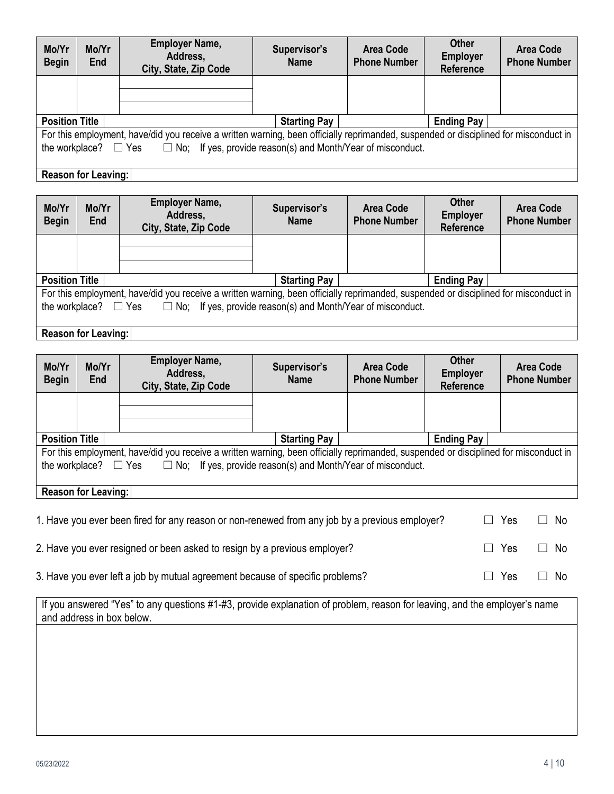| Mo/Yr<br><b>Begin</b>                                                                                                                | Mo/Yr<br>End | <b>Employer Name,</b><br>Address,<br>City, State, Zip Code | Supervisor's<br><b>Name</b> | Area Code<br><b>Phone Number</b> | <b>Other</b><br><b>Employer</b><br><b>Reference</b> | <b>Area Code</b><br><b>Phone Number</b> |
|--------------------------------------------------------------------------------------------------------------------------------------|--------------|------------------------------------------------------------|-----------------------------|----------------------------------|-----------------------------------------------------|-----------------------------------------|
|                                                                                                                                      |              |                                                            |                             |                                  |                                                     |                                         |
|                                                                                                                                      |              |                                                            |                             |                                  |                                                     |                                         |
| <b>Position Title</b>                                                                                                                |              |                                                            | <b>Starting Pay</b>         |                                  | <b>Ending Pay</b>                                   |                                         |
| For this employment, have/did you receive a written warning, been officially reprimanded, suspended or disciplined for misconduct in |              |                                                            |                             |                                  |                                                     |                                         |
| the workplace? $\square$ Yes $\square$ No; If yes, provide reason(s) and Month/Year of misconduct.                                   |              |                                                            |                             |                                  |                                                     |                                         |

# **Reason for Leaving:**

| Mo/Yr<br><b>Begin</b> | Mo/Yr<br>End                                                                                       | <b>Employer Name,</b><br>Address,<br>City, State, Zip Code                                                                           | Supervisor's<br><b>Name</b> | <b>Area Code</b><br><b>Phone Number</b> | <b>Other</b><br><b>Employer</b><br>Reference | Area Code<br><b>Phone Number</b> |
|-----------------------|----------------------------------------------------------------------------------------------------|--------------------------------------------------------------------------------------------------------------------------------------|-----------------------------|-----------------------------------------|----------------------------------------------|----------------------------------|
|                       |                                                                                                    |                                                                                                                                      |                             |                                         |                                              |                                  |
|                       |                                                                                                    |                                                                                                                                      |                             |                                         |                                              |                                  |
| <b>Position Title</b> |                                                                                                    |                                                                                                                                      | <b>Starting Pay</b>         |                                         | <b>Ending Pay</b>                            |                                  |
|                       |                                                                                                    | For this employment, have/did you receive a written warning, been officially reprimanded, suspended or disciplined for misconduct in |                             |                                         |                                              |                                  |
|                       | the workplace? $\square$ Yes $\square$ No; If yes, provide reason(s) and Month/Year of misconduct. |                                                                                                                                      |                             |                                         |                                              |                                  |
|                       |                                                                                                    |                                                                                                                                      |                             |                                         |                                              |                                  |
|                       | <b>Reason for Leaving:</b>                                                                         |                                                                                                                                      |                             |                                         |                                              |                                  |

| Mo/Yr<br><b>Begin</b> | Mo/Yr<br>End                                                                                 | <b>Employer Name,</b><br>Address,<br>City, State, Zip Code                                                                           | Supervisor's<br><b>Name</b> | <b>Area Code</b><br><b>Phone Number</b> | <b>Other</b><br><b>Employer</b><br><b>Reference</b> | Area Code<br><b>Phone Number</b> |
|-----------------------|----------------------------------------------------------------------------------------------|--------------------------------------------------------------------------------------------------------------------------------------|-----------------------------|-----------------------------------------|-----------------------------------------------------|----------------------------------|
|                       |                                                                                              |                                                                                                                                      |                             |                                         |                                                     |                                  |
|                       |                                                                                              |                                                                                                                                      |                             |                                         |                                                     |                                  |
| <b>Position Title</b> |                                                                                              |                                                                                                                                      | <b>Starting Pay</b>         |                                         | <b>Ending Pay</b>                                   |                                  |
|                       |                                                                                              | For this employment, have/did you receive a written warning, been officially reprimanded, suspended or disciplined for misconduct in |                             |                                         |                                                     |                                  |
|                       | the workplace? $\Box$ Yes $\Box$ No; If yes, provide reason(s) and Month/Year of misconduct. |                                                                                                                                      |                             |                                         |                                                     |                                  |
|                       |                                                                                              |                                                                                                                                      |                             |                                         |                                                     |                                  |
|                       | <b>Reason for Leaving:</b>                                                                   |                                                                                                                                      |                             |                                         |                                                     |                                  |

| 1. Have you ever been fired for any reason or non-renewed from any job by a previous employer? | $\Box$ Yes | $\Box$ No |
|------------------------------------------------------------------------------------------------|------------|-----------|
| 2. Have you ever resigned or been asked to resign by a previous employer?                      | $\Box$ Yes | ∩ No      |
| 3. Have you ever left a job by mutual agreement because of specific problems?                  | $\Box$ Yes | ∩ No      |

| If you answered "Yes" to any questions #1-#3, provide explanation of problem, reason for leaving, and the employer's name |  |
|---------------------------------------------------------------------------------------------------------------------------|--|
| and address in box below.                                                                                                 |  |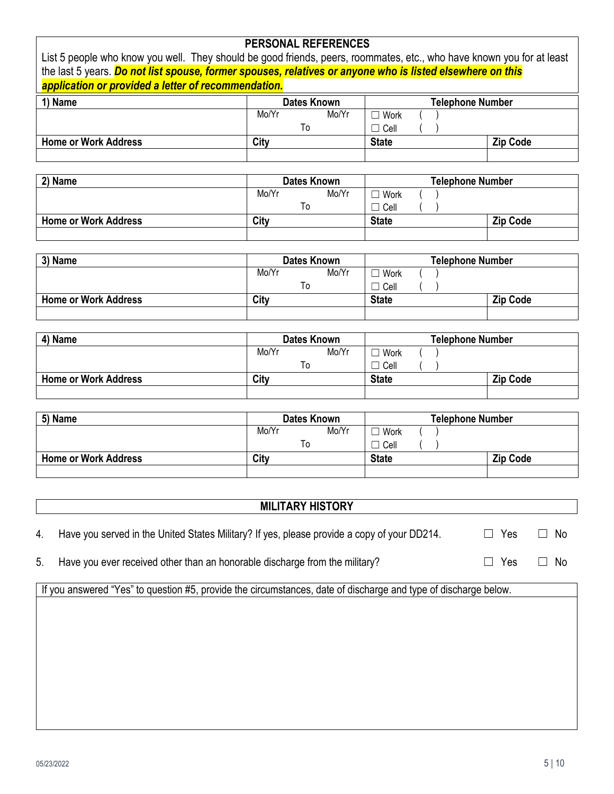| <b>PERSONAL REFERENCES</b>                                                                                            |                                 |                  |                 |  |  |  |  |
|-----------------------------------------------------------------------------------------------------------------------|---------------------------------|------------------|-----------------|--|--|--|--|
| List 5 people who know you well. They should be good friends, peers, roommates, etc., who have known you for at least |                                 |                  |                 |  |  |  |  |
| the last 5 years. Do not list spouse, former spouses, relatives or anyone who is listed elsewhere on this             |                                 |                  |                 |  |  |  |  |
| application or provided a letter of recommendation.                                                                   |                                 |                  |                 |  |  |  |  |
| 1) Name                                                                                                               | Telephone Number<br>Dates Known |                  |                 |  |  |  |  |
|                                                                                                                       | Mo/Yr<br>Mo/Yr                  | $\Box$ Work      |                 |  |  |  |  |
|                                                                                                                       | To                              | $\Box$ Cell      |                 |  |  |  |  |
| <b>Home or Work Address</b>                                                                                           | City                            | <b>State</b>     | <b>Zip Code</b> |  |  |  |  |
|                                                                                                                       |                                 |                  |                 |  |  |  |  |
| 2) Name                                                                                                               | Dates Known                     | Telephone Number |                 |  |  |  |  |
|                                                                                                                       | Mo/Yr<br>Mo/Yr                  | $\Box$ Work      |                 |  |  |  |  |
|                                                                                                                       | To                              | $\Box$ Cell      |                 |  |  |  |  |
| <b>Home or Work Address</b>                                                                                           | City                            | <b>State</b>     | <b>Zip Code</b> |  |  |  |  |

| 3) Name                     | <b>Dates Known</b> | <b>Telephone Number</b> |                 |
|-----------------------------|--------------------|-------------------------|-----------------|
|                             | Mo/Yr<br>Mo/Yr     | Work                    |                 |
|                             |                    | l Cell                  |                 |
| <b>Home or Work Address</b> | City               | <b>State</b>            | <b>Zip Code</b> |
|                             |                    |                         |                 |

| 4) Name                     | <b>Dates Known</b> | <b>Telephone Number</b> |                 |
|-----------------------------|--------------------|-------------------------|-----------------|
|                             | Mo/Yr<br>Mo/Yr     | Work                    |                 |
|                             | To                 | ` Cell∶                 |                 |
| <b>Home or Work Address</b> | City               | <b>State</b>            | <b>Zip Code</b> |
|                             |                    |                         |                 |

| 5) Name                     | Dates Known |       | <b>Telephone Number</b> |                 |  |
|-----------------------------|-------------|-------|-------------------------|-----------------|--|
|                             | Mo/Yr       | Mo/Yr | Work                    |                 |  |
|                             | To          |       | Cell                    |                 |  |
| <b>Home or Work Address</b> | City        |       | <b>State</b>            | <b>Zip Code</b> |  |
|                             |             |       |                         |                 |  |

# **MILITARY HISTORY**

- 4. Have you served in the United States Military? If yes, please provide a copy of your DD214. □ Yes □ No
- 5. Have you ever received other than an honorable discharge from the military? □ □ Yes □ No

If you answered "Yes" to question #5, provide the circumstances, date of discharge and type of discharge below.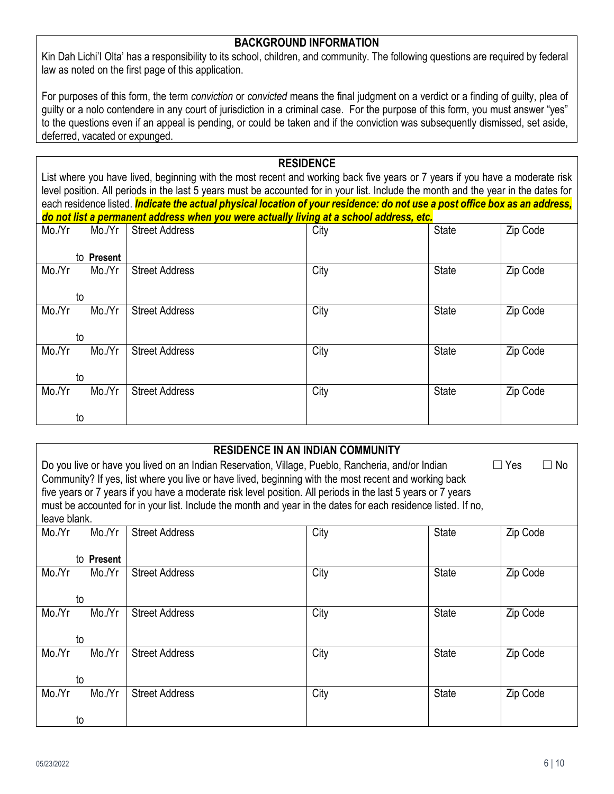#### **BACKGROUND INFORMATION**

Kin Dah Lichi'I Olta' has a responsibility to its school, children, and community. The following questions are required by federal law as noted on the first page of this application.

For purposes of this form, the term *conviction* or *convicted* means the final judgment on a verdict or a finding of guilty, plea of guilty or a nolo contendere in any court of jurisdiction in a criminal case. For the purpose of this form, you must answer "yes" to the questions even if an appeal is pending, or could be taken and if the conviction was subsequently dismissed, set aside, deferred, vacated or expunged.

#### **RESIDENCE**

List where you have lived, beginning with the most recent and working back five years or 7 years if you have a moderate risk level position. All periods in the last 5 years must be accounted for in your list. Include the month and the year in the dates for each residence listed. *Indicate the actual physical location of your residence: do not use a post office box as an address, do not list a permanent address when you were actually living at a school address, etc.*

| Mo./Yr | Mo./Yr     | <b>Street Address</b> | City | <b>State</b> | Zip Code |
|--------|------------|-----------------------|------|--------------|----------|
|        | to Present |                       |      |              |          |
| Mo./Yr | Mo./Yr     | <b>Street Address</b> | City | <b>State</b> | Zip Code |
| to     |            |                       |      |              |          |
| Mo./Yr | Mo./Yr     | <b>Street Address</b> | City | State        | Zip Code |
| to     |            |                       |      |              |          |
| Mo./Yr | Mo./Yr     | <b>Street Address</b> | City | <b>State</b> | Zip Code |
| to     |            |                       |      |              |          |
| Mo./Yr | Mo./Yr     | <b>Street Address</b> | City | <b>State</b> | Zip Code |
| to     |            |                       |      |              |          |

|                                                                                                                                                                                                                                                                                                                                                                                                                                                                                           |                      |                       | <b>RESIDENCE IN AN INDIAN COMMUNITY</b> |              |          |
|-------------------------------------------------------------------------------------------------------------------------------------------------------------------------------------------------------------------------------------------------------------------------------------------------------------------------------------------------------------------------------------------------------------------------------------------------------------------------------------------|----------------------|-----------------------|-----------------------------------------|--------------|----------|
| Do you live or have you lived on an Indian Reservation, Village, Pueblo, Rancheria, and/or Indian<br>$\Box$ Yes<br>$\square$ No<br>Community? If yes, list where you live or have lived, beginning with the most recent and working back<br>five years or 7 years if you have a moderate risk level position. All periods in the last 5 years or 7 years<br>must be accounted for in your list. Include the month and year in the dates for each residence listed. If no,<br>leave blank. |                      |                       |                                         |              |          |
| Mo./Yr                                                                                                                                                                                                                                                                                                                                                                                                                                                                                    | Mo./Yr<br>to Present | <b>Street Address</b> | City                                    | <b>State</b> | Zip Code |
| Mo./Yr                                                                                                                                                                                                                                                                                                                                                                                                                                                                                    | Mo.Yr                | <b>Street Address</b> | City                                    | <b>State</b> | Zip Code |
| to                                                                                                                                                                                                                                                                                                                                                                                                                                                                                        |                      |                       |                                         |              |          |
| Mo./Yr                                                                                                                                                                                                                                                                                                                                                                                                                                                                                    | Mo./Yr               | <b>Street Address</b> | City                                    | <b>State</b> | Zip Code |
| to                                                                                                                                                                                                                                                                                                                                                                                                                                                                                        |                      |                       |                                         |              |          |
| Mo./Yr                                                                                                                                                                                                                                                                                                                                                                                                                                                                                    | Mo./Yr               | <b>Street Address</b> | City                                    | <b>State</b> | Zip Code |
| to                                                                                                                                                                                                                                                                                                                                                                                                                                                                                        |                      |                       |                                         |              |          |
| Mo./Yr                                                                                                                                                                                                                                                                                                                                                                                                                                                                                    | Mo./Yr               | <b>Street Address</b> | City                                    | <b>State</b> | Zip Code |
| to                                                                                                                                                                                                                                                                                                                                                                                                                                                                                        |                      |                       |                                         |              |          |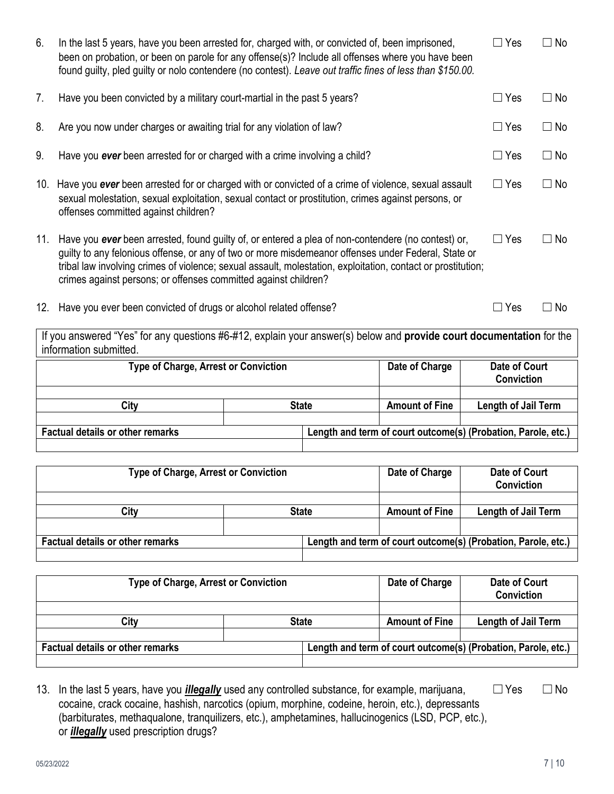| 6.                                                                                               | In the last 5 years, have you been arrested for, charged with, or convicted of, been imprisoned,<br>been on probation, or been on parole for any offense(s)? Include all offenses where you have been<br>found guilty, pled guilty or nolo contendere (no contest). Leave out traffic fines of less than \$150.00.                                                                                                          | $\Box$ Yes   | $\Box$ No                                                     |                                    |                                           |           |  |
|--------------------------------------------------------------------------------------------------|-----------------------------------------------------------------------------------------------------------------------------------------------------------------------------------------------------------------------------------------------------------------------------------------------------------------------------------------------------------------------------------------------------------------------------|--------------|---------------------------------------------------------------|------------------------------------|-------------------------------------------|-----------|--|
| 7.                                                                                               | Have you been convicted by a military court-martial in the past 5 years?                                                                                                                                                                                                                                                                                                                                                    | $\Box$ Yes   | $\Box$ No                                                     |                                    |                                           |           |  |
| 8.                                                                                               | Are you now under charges or awaiting trial for any violation of law?                                                                                                                                                                                                                                                                                                                                                       |              |                                                               |                                    | $\Box$ Yes                                | $\Box$ No |  |
| 9.                                                                                               | Have you ever been arrested for or charged with a crime involving a child?                                                                                                                                                                                                                                                                                                                                                  |              |                                                               |                                    | $\Box$ Yes                                | $\Box$ No |  |
| 10.                                                                                              | Have you ever been arrested for or charged with or convicted of a crime of violence, sexual assault<br>sexual molestation, sexual exploitation, sexual contact or prostitution, crimes against persons, or<br>offenses committed against children?                                                                                                                                                                          |              |                                                               |                                    | $\Box$ Yes                                | $\Box$ No |  |
|                                                                                                  | 11. Have you ever been arrested, found guilty of, or entered a plea of non-contendere (no contest) or,<br>$\Box$ Yes<br>$\Box$ No<br>guilty to any felonious offense, or any of two or more misdemeanor offenses under Federal, State or<br>tribal law involving crimes of violence; sexual assault, molestation, exploitation, contact or prostitution;<br>crimes against persons; or offenses committed against children? |              |                                                               |                                    |                                           |           |  |
| 12. Have you ever been convicted of drugs or alcohol related offense?<br>$\Box$ No<br>$\Box$ Yes |                                                                                                                                                                                                                                                                                                                                                                                                                             |              |                                                               |                                    |                                           |           |  |
|                                                                                                  | If you answered "Yes" for any questions #6-#12, explain your answer(s) below and provide court documentation for the<br>information submitted.                                                                                                                                                                                                                                                                              |              |                                                               |                                    |                                           |           |  |
|                                                                                                  | <b>Type of Charge, Arrest or Conviction</b>                                                                                                                                                                                                                                                                                                                                                                                 |              |                                                               | Date of Charge                     | <b>Date of Court</b><br><b>Conviction</b> |           |  |
|                                                                                                  | City                                                                                                                                                                                                                                                                                                                                                                                                                        |              | <b>State</b>                                                  | <b>Amount of Fine</b>              | <b>Length of Jail Term</b>                |           |  |
|                                                                                                  | <b>Factual details or other remarks</b>                                                                                                                                                                                                                                                                                                                                                                                     |              | Length and term of court outcome(s) (Probation, Parole, etc.  |                                    |                                           |           |  |
|                                                                                                  | <b>Type of Charge, Arrest or Conviction</b>                                                                                                                                                                                                                                                                                                                                                                                 |              | Date of Charge                                                | <b>Date of Court</b><br>Conviction |                                           |           |  |
|                                                                                                  | City                                                                                                                                                                                                                                                                                                                                                                                                                        | <b>State</b> | <b>Amount of Fine</b>                                         | <b>Length of Jail Term</b>         |                                           |           |  |
|                                                                                                  |                                                                                                                                                                                                                                                                                                                                                                                                                             |              |                                                               |                                    |                                           |           |  |
|                                                                                                  | <b>Factual details or other remarks</b>                                                                                                                                                                                                                                                                                                                                                                                     |              | Length and term of court outcome(s) (Probation, Parole, etc.) |                                    |                                           |           |  |
|                                                                                                  |                                                                                                                                                                                                                                                                                                                                                                                                                             |              |                                                               |                                    |                                           |           |  |

| <b>Type of Charge, Arrest or Conviction</b> |              |  | Date of Charge        | Date of Court<br><b>Conviction</b>                            |
|---------------------------------------------|--------------|--|-----------------------|---------------------------------------------------------------|
|                                             |              |  |                       |                                                               |
| City                                        | <b>State</b> |  | <b>Amount of Fine</b> | <b>Length of Jail Term</b>                                    |
|                                             |              |  |                       |                                                               |
| <b>Factual details or other remarks</b>     |              |  |                       | Length and term of court outcome(s) (Probation, Parole, etc.) |
|                                             |              |  |                       |                                                               |

13. In the last 5 years, have you *illegally* used any controlled substance, for example, marijuana, □Yes □ No cocaine, crack cocaine, hashish, narcotics (opium, morphine, codeine, heroin, etc.), depressants (barbiturates, methaqualone, tranquilizers, etc.), amphetamines, hallucinogenics (LSD, PCP, etc.), or *illegally* used prescription drugs?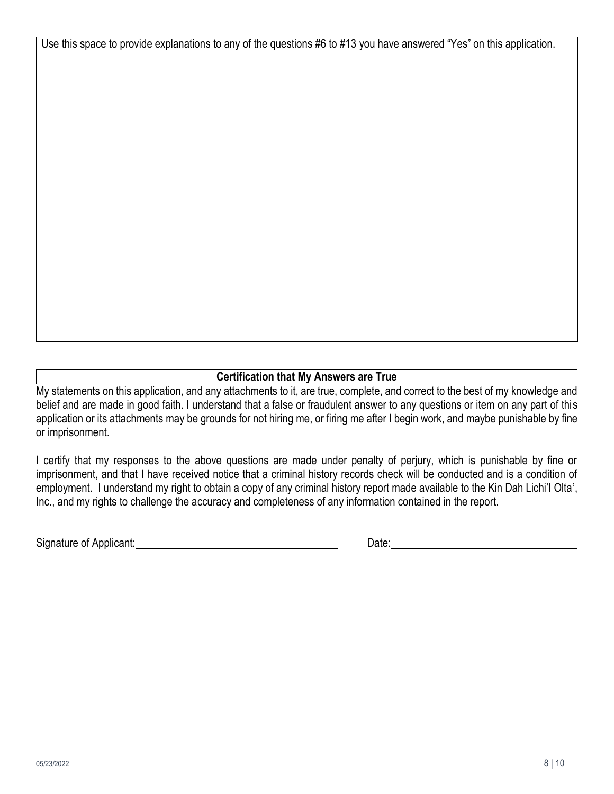Use this space to provide explanations to any of the questions #6 to #13 you have answered "Yes" on this application.

# **Certification that My Answers are True**

My statements on this application, and any attachments to it, are true, complete, and correct to the best of my knowledge and belief and are made in good faith. I understand that a false or fraudulent answer to any questions or item on any part of this application or its attachments may be grounds for not hiring me, or firing me after I begin work, and maybe punishable by fine or imprisonment.

I certify that my responses to the above questions are made under penalty of perjury, which is punishable by fine or imprisonment, and that I have received notice that a criminal history records check will be conducted and is a condition of employment. I understand my right to obtain a copy of any criminal history report made available to the Kin Dah Lichi'I Olta', Inc., and my rights to challenge the accuracy and completeness of any information contained in the report.

Signature of Applicant: <u>Date:</u> Date: Date: Date: Date: Date: Date: Date: Date: Date: Date: Date: Date: Date: Date: Date: Date: Date: Date: Date: Date: Date: Date: Date: Date: Date: Date: Date: Date: Date: Date: Date: Date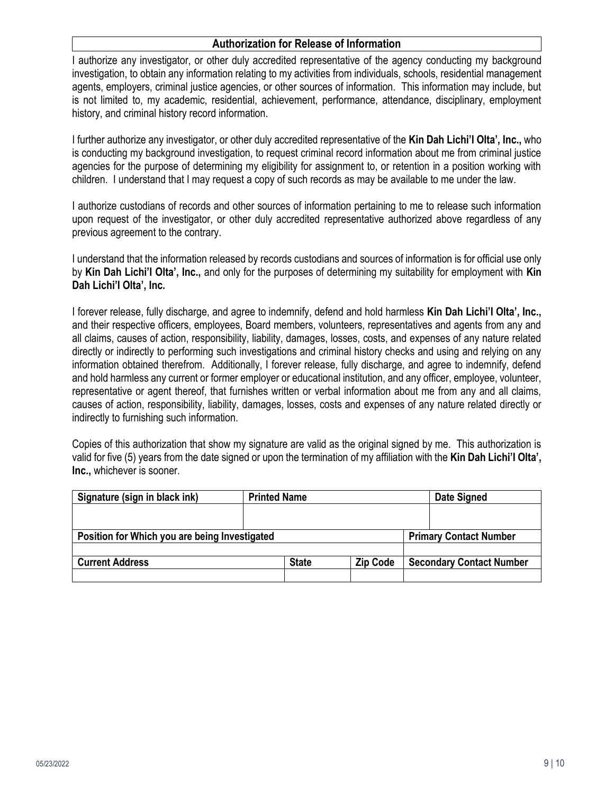#### **Authorization for Release of Information**

I authorize any investigator, or other duly accredited representative of the agency conducting my background investigation, to obtain any information relating to my activities from individuals, schools, residential management agents, employers, criminal justice agencies, or other sources of information. This information may include, but is not limited to, my academic, residential, achievement, performance, attendance, disciplinary, employment history, and criminal history record information.

I further authorize any investigator, or other duly accredited representative of the **Kin Dah Lichi'I Olta', Inc.,** who is conducting my background investigation, to request criminal record information about me from criminal justice agencies for the purpose of determining my eligibility for assignment to, or retention in a position working with children. I understand that I may request a copy of such records as may be available to me under the law.

I authorize custodians of records and other sources of information pertaining to me to release such information upon request of the investigator, or other duly accredited representative authorized above regardless of any previous agreement to the contrary.

I understand that the information released by records custodians and sources of information is for official use only by **Kin Dah Lichi'I Olta', Inc.,** and only for the purposes of determining my suitability for employment with **Kin Dah Lichi'I Olta', Inc.**

I forever release, fully discharge, and agree to indemnify, defend and hold harmless **Kin Dah Lichi'I Olta', Inc.,** and their respective officers, employees, Board members, volunteers, representatives and agents from any and all claims, causes of action, responsibility, liability, damages, losses, costs, and expenses of any nature related directly or indirectly to performing such investigations and criminal history checks and using and relying on any information obtained therefrom. Additionally, I forever release, fully discharge, and agree to indemnify, defend and hold harmless any current or former employer or educational institution, and any officer, employee, volunteer, representative or agent thereof, that furnishes written or verbal information about me from any and all claims, causes of action, responsibility, liability, damages, losses, costs and expenses of any nature related directly or indirectly to furnishing such information.

Copies of this authorization that show my signature are valid as the original signed by me. This authorization is valid for five (5) years from the date signed or upon the termination of my affiliation with the **Kin Dah Lichi'I Olta', Inc.,** whichever is sooner.

| Signature (sign in black ink)                 | <b>Printed Name</b> |                 |                               | Date Signed                     |
|-----------------------------------------------|---------------------|-----------------|-------------------------------|---------------------------------|
|                                               |                     |                 |                               |                                 |
|                                               |                     |                 |                               |                                 |
| Position for Which you are being Investigated |                     |                 | <b>Primary Contact Number</b> |                                 |
|                                               |                     |                 |                               |                                 |
| <b>Current Address</b>                        | <b>State</b>        | <b>Zip Code</b> |                               | <b>Secondary Contact Number</b> |
|                                               |                     |                 |                               |                                 |